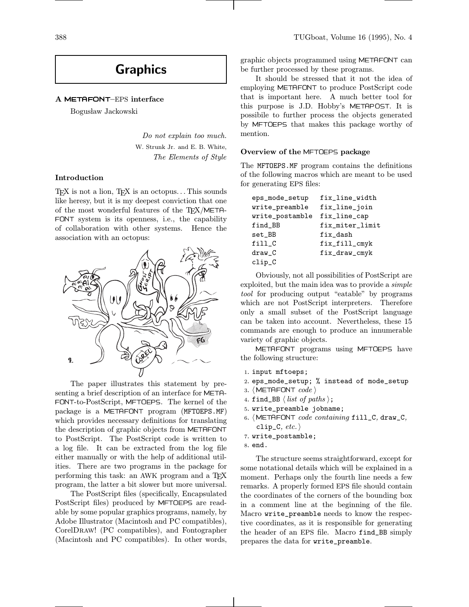# Graphics

# A METAFONT–EPS interface

Bogusław Jackowski

Do not explain too much. W. Strunk Jr. and E. B. White, The Elements of Style

#### Introduction

TEX is not a lion, TEX is an octopus... This sounds like heresy, but it is my deepest conviction that one of the most wonderful features of the  $T_{F}X/META-$ FONT system is its openness, i.e., the capability of collaboration with other systems. Hence the association with an octopus:



The paper illustrates this statement by presenting a brief description of an interface for META- FONT-to-PostScript, MFTOEPS. The kernel of the package is a METAFONT program (MFTOEPS.MF) which provides necessary definitions for translating the description of graphic objects from METAFONT to PostScript. The PostScript code is written to a log file. It can be extracted from the log file either manually or with the help of additional utilities. There are two programs in the package for performing this task: an AWK program and a TFX program, the latter a bit slower but more universal.

The PostScript files (specifically, Encapsulated PostScript files) produced by MFTOEPS are readable by some popular graphics programs, namely, by Adobe Illustrator (Macintosh and PC compatibles), CorelDraw! (PC compatibles), and Fontographer (Macintosh and PC compatibles). In other words,

graphic objects programmed using METAFONT can be further processed by these programs.

It should be stressed that it not the idea of employing METAFONT to produce PostScript code that is important here. A much better tool for this purpose is J.D. Hobby's METAPOST. It is possibile to further process the objects generated by MFTOEPS that makes this package worthy of mention.

# Overview of the MFTOEPS package

The MFTOEPS.MF program contains the definitions of the following macros which are meant to be used for generating EPS files:

| eps_mode_setup  | fix_line_width  |
|-----------------|-----------------|
| write_preamble  | fix_line_join   |
| write_postamble | fix_line_cap    |
| find_BB         | fix_miter_limit |
| set_BB          | fix_dash        |
| fillC           | fix_fill_cmyk   |
| $draw_C$        | fix_draw_cmyk   |
| clip_C          |                 |

Obviously, not all possibilities of PostScript are exploited, but the main idea was to provide a simple tool for producing output "eatable" by programs which are not PostScript interpreters. Therefore only a small subset of the PostScript language can be taken into account. Nevertheless, these 15 commands are enough to produce an innumerable variety of graphic objects.

METAFONT programs using MFTOEPS have the following structure:

- <sup>1</sup>. input mftoeps;
- <sup>2</sup>. eps\_mode\_setup; % instead of mode\_setup
- 3. (METAFONT  $code$ )
- 4. find\_BB  $\langle$  *list of paths*  $\rangle$ ;
- <sup>5</sup>. write\_preamble jobname;
- 6. (METAFONT code containing fill\_C, draw\_C, clip\_C,  $etc.$   $\rangle$
- <sup>7</sup>. write\_postamble;

The structure seems straightforward, except for some notational details which will be explained in a moment. Perhaps only the fourth line needs a few remarks. A properly formed EPS file should contain the coordinates of the corners of the bounding box in a comment line at the beginning of the file. Macro write\_preamble needs to know the respective coordinates, as it is responsible for generating the header of an EPS file. Macro find\_BB simply prepares the data for write\_preamble.

<sup>8</sup>. end.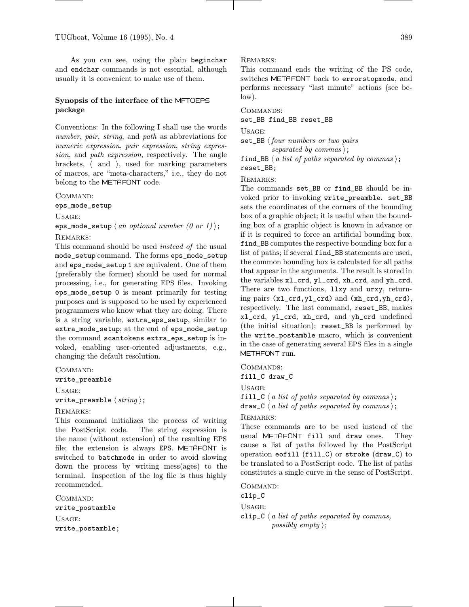As you can see, using the plain beginchar and endchar commands is not essential, although usually it is convenient to make use of them.

# Synopsis of the interface of the MFTOEPS package

Conventions: In the following I shall use the words number, pair, string, and path as abbreviations for numeric expression, pair expression, string expression, and path expression, respectively. The angle brackets,  $\langle$  and  $\rangle$ , used for marking parameters of macros, are "meta-characters," i.e., they do not belong to the METAFONT code.

Command:

eps\_mode\_setup

Usage:

eps\_mode\_setup  $\langle$  an optional number  $(0 \text{ or } 1)$  ;

#### REMARKS:

This command should be used instead of the usual mode\_setup command. The forms eps\_mode\_setup and eps\_mode\_setup 1 are equivalent. One of them (preferably the former) should be used for normal processing, i.e., for generating EPS files. Invoking eps\_mode\_setup 0 is meant primarily for testing purposes and is supposed to be used by experienced programmers who know what they are doing. There is a string variable, extra\_eps\_setup, similar to extra\_mode\_setup; at the end of eps\_mode\_setup the command scantokens extra\_eps\_setup is invoked, enabling user-oriented adjustments, e.g., changing the default resolution.

Command:

write\_preamble

Usage: write\_preamble  $\langle$  string  $\rangle$ ;

#### REMARKS:

This command initializes the process of writing the PostScript code. The string expression is the name (without extension) of the resulting EPS file; the extension is always EPS. METAFONT is switched to batchmode in order to avoid slowing down the process by writing mess(ages) to the terminal. Inspection of the log file is thus highly recommended.

Command: write\_postamble Usage: write\_postamble;

#### Remarks:

This command ends the writing of the PS code, switches METAFONT back to errorstopmode, and performs necessary "last minute" actions (see below).

COMMANDS:

# set\_BB find\_BB reset\_BB

Usage:

 $set$ BB  $\{four\ numbers\ or\ two\ pairs$ separated by commas);

find\_BB  $\langle a \text{ list of paths separated by commas } \rangle$ ; reset\_BB;

REMARKS:

The commands set\_BB or find\_BB should be invoked prior to invoking write\_preamble. set\_BB sets the coordinates of the corners of the bounding box of a graphic object; it is useful when the bounding box of a graphic object is known in advance or if it is required to force an artificial bounding box. find\_BB computes the respective bounding box for a list of paths; if several find\_BB statements are used, the common bounding box is calculated for all paths that appear in the arguments. The result is stored in the variables xl\_crd, yl\_crd, xh\_crd, and yh\_crd. There are two functions, llxy and urxy, returning pairs (xl\_crd,yl\_crd) and (xh\_crd,yh\_crd), respectively. The last command, reset\_BB, makes xl\_crd, yl\_crd, xh\_crd, and yh\_crd undefined (the initial situation); reset\_BB is performed by the write\_postamble macro, which is convenient in the case of generating several EPS files in a single METAFONT run.

Commands:

fill\_C draw\_C

Usage:

fill\_C  $\langle a \text{ list of paths separated by commas } \rangle$ ; draw\_C  $\langle a \text{ list of paths separated by commas } \rangle$ ;

# Remarks:

These commands are to be used instead of the usual METAFONT fill and draw ones. They cause a list of paths followed by the PostScript operation eofill (fill\_C) or stroke (draw\_C) to be translated to a PostScript code. The list of paths constitutes a single curve in the sense of PostScript.

COMMAND: clip\_C Usage: clip\_C  $\langle a \text{ list of paths separated by commas,}$ possibly empty);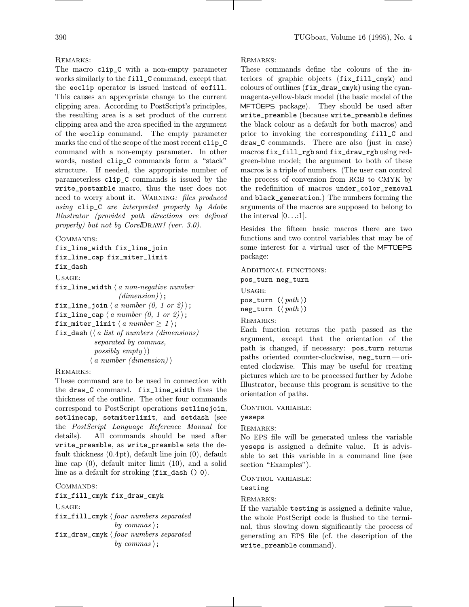#### REMARKS:

The macro clip\_C with a non-empty parameter works similarly to the fill\_C command, except that the eoclip operator is issued instead of eofill. This causes an appropriate change to the current clipping area. According to PostScript's principles, the resulting area is a set product of the current clipping area and the area specified in the argument of the eoclip command. The empty parameter marks the end of the scope of the most recent clip\_C command with a non-empty parameter. In other words, nested clip\_C commands form a "stack" structure. If needed, the appropriate number of parameterless clip\_C commands is issued by the write\_postamble macro, thus the user does not need to worry about it. Warning: files produced using clip\_C are interpreted properly by Adobe Illustrator (provided path directions are defined properly) but not by CorelDraw! (ver. 3.0).

COMMANDS:

```
fix_line_width fix_line_join
fix_line_cap fix_miter_limit
fix_dash
Usage:
fix_line_width \langle a \text{ non-negative number} \rangle(dimension);
fix_line_join \langle a \ number (0, 1 \ or \ 2) \rangle;
fix_line_cap \langle a \ number (0, 1 \ or \ 2) \rangle;
fix_miter_limit \langle a \ number \geq 1 \rangle;
fix_dash (\langle a \text{ list of numbers } (\text{dimensions}) \rangleseparated by commas,
              possibly empty \rangle\langle a \ number \ (dimension) \rangle
```
#### REMARKS:

These command are to be used in connection with the draw\_C command. fix\_line\_width fixes the thickness of the outline. The other four commands correspond to PostScript operations setlinejoin, setlinecap, setmiterlimit, and setdash (see the PostScript Language Reference Manual for details). All commands should be used after write\_preamble, as write\_preamble sets the default thickness (0.4pt), default line join (0), default line cap (0), default miter limit (10), and a solid line as a default for stroking (fix\_dash () 0).

COMMANDS:

fix\_fill\_cmyk fix\_draw\_cmyk Usage: fix\_fill\_cmyk  $\langle$  four numbers separated by commas); fix\_draw\_cmyk  $\langle$  four numbers separated by commas);

#### Remarks:

These commands define the colours of the interiors of graphic objects (fix\_fill\_cmyk) and colours of outlines (fix\_draw\_cmyk) using the cyanmagenta-yellow-black model (the basic model of the MFTOEPS package). They should be used after write\_preamble (because write\_preamble defines the black colour as a default for both macros) and prior to invoking the corresponding fill\_C and draw\_C commands. There are also (just in case) macros fix\_fill\_rgb and fix\_draw\_rgb using redgreen-blue model; the argument to both of these macros is a triple of numbers. (The user can control the process of conversion from RGB to CMYK by the redefinition of macros under\_color\_removal and black\_generation.) The numbers forming the arguments of the macros are supposed to belong to the interval  $[0...:1]$ .

Besides the fifteen basic macros there are two functions and two control variables that may be of some interest for a virtual user of the MFTOEPS package:

Additional functions: pos\_turn neg\_turn Usage: pos\_turn  $(\langle path \rangle)$ neg\_turn  $(\langle path \rangle)$ 

```
Remarks:
```
Each function returns the path passed as the argument, except that the orientation of the path is changed, if necessary: pos\_turn returns paths oriented counter-clockwise, neg\_turn—oriented clockwise. This may be useful for creating pictures which are to be processed further by Adobe Illustrator, because this program is sensitive to the orientation of paths.

#### CONTROL VARIABLE:

yeseps

# Remarks:

No EPS file will be generated unless the variable yeseps is assigned a definite value. It is advisable to set this variable in a command line (see section "Examples").

## CONTROL VARIABLE:

testing

# REMARKS:

If the variable testing is assigned a definite value, the whole PostScript code is flushed to the terminal, thus slowing down significantly the process of generating an EPS file (cf. the description of the write\_preamble command).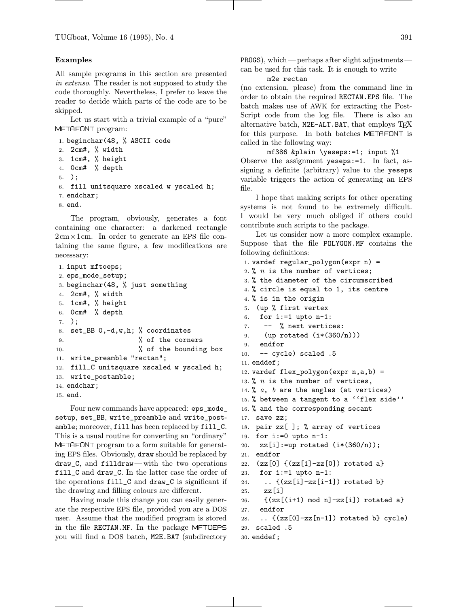#### Examples

All sample programs in this section are presented in extenso. The reader is not supposed to study the code thoroughly. Nevertheless, I prefer to leave the reader to decide which parts of the code are to be skipped.

Let us start with a trivial example of a "pure" METAFONT program:

```
1. beginchar(48, % ASCII code
2. 2cm#, % width
3. 1cm#, % height
4. 0cm# % depth
5. );
6. fill unitsquare xscaled w yscaled h;
7. endchar;
8. end.
   The program, obviously, generates a font
```
containing one character: a darkened rectangle  $2 \text{cm} \times 1 \text{cm}$ . In order to generate an EPS file containing the same figure, a few modifications are necessary:

```
1. input mftoeps;
2. eps_mode_setup;
3. beginchar(48, % just something
4. 2cm#, % width
5. 1cm#, % height
6. 0cm# % depth
7. );
8. set_BB 0,-d,w,h; % coordinates
9. % of the corners10. % of the bounding box
11. write_preamble "rectan";
12. fill_C unitsquare xscaled w yscaled h;
13. write_postamble;
14. endchar;
15. end.
```
Four new commands have appeared: eps\_mode\_ setup, set\_BB, write\_preamble and write\_postamble; moreover, fill has been replaced by fill\_C. This is a usual routine for converting an "ordinary" METAFONT program to a form suitable for generating EPS files. Obviously, draw should be replaced by draw\_C, and filldraw—with the two operations fill\_C and draw\_C. In the latter case the order of the operations fill\_C and draw\_C is significant if the drawing and filling colours are different.

Having made this change you can easily generate the respective EPS file, provided you are a DOS user. Assume that the modified program is stored in the file RECTAN.MF. In the package MFTOEPS you will find a DOS batch, M2E.BAT (subdirectory PROGS), which—perhaps after slight adjustments can be used for this task. It is enough to write

m2e rectan

(no extension, please) from the command line in order to obtain the required RECTAN.EPS file. The batch makes use of AWK for extracting the Post-Script code from the log file. There is also an alternative batch, M2E-ALT.BAT, that employs TFX for this purpose. In both batches METAFONT is called in the following way:

mf386 &plain \yeseps:=1; input %1 Observe the assignment yeseps:=1. In fact, assigning a definite (arbitrary) value to the yeseps variable triggers the action of generating an EPS file.

I hope that making scripts for other operating systems is not found to be extremely difficult. I would be very much obliged if others could contribute such scripts to the package.

Let us consider now a more complex example. Suppose that the file POLYGON.MF contains the following definitions:

```
1. vardef regular_polygon(expr n) =
2. % n is the number of vertices;
3. % the diameter of the circumscribed
4. % circle is equal to 1, its centre
4. % is in the origin
5. (up % first vertex
6. for i:=1 upto n-1:
7. -- % next vertices:
9. (up rotated (i*(360/n)))
9. endfor
10. -- cycle) scaled .5
11. enddef;
12. vardef flex_polygon(expr n, a, b) =
13. % n is the number of vertices,
14. % a, b are the angles (at vertices)
15. % between a tangent to a ''flex side''
16. % and the corresponding secant
17. save zz;
18. pair zz[ ]; % array of vertices
19. for i:=0 upto n-1:
20. zz[i] := up rotated (i*(360/n));21. endfor
22. (zz[0] \{ (zz[1]-zz[0]) \text{ rotated } a \}23. for i:=1 upto n-1:
24. \ldots {(zz[i]-zz[i-1]) rotated b}
25. zz[i]26. \{(zz[(i+1) \mod n] - zz[i]) \text{ rotated } a\}27. endfor
28. \ldots {(zz[0]-zz[n-1]) rotated b} cycle)
29. scaled .5
30. enddef;
```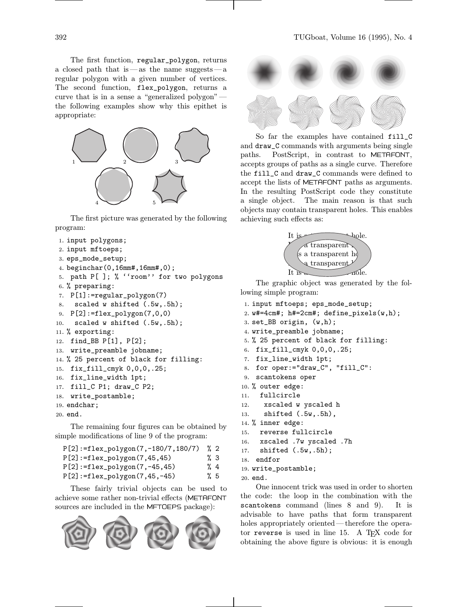The first function, regular\_polygon, returns a closed path that is —as the name suggests—a regular polygon with a given number of vertices. The second function, flex\_polygon, returns a curve that is in a sense a "generalized polygon" the following examples show why this epithet is appropriate:



The first picture was generated by the following program:

```
1. input polygons;
```
- <sup>2</sup>. input mftoeps;
- <sup>3</sup>. eps\_mode\_setup;

```
4. beginchar(0,16mm#,16mm#,0);
```
- <sup>5</sup>. path P[ ]; % ''room'' for two polygons
- <sup>6</sup>. % preparing:
- <sup>7</sup>. P[1]:=regular\_polygon(7)

```
8. scaled w shifted (.5w, .5h);
```

```
9. P[2] := f \text{lex\_polygon}(7,0,0)
```

```
10. scaled w shifted (.5w, .5h);
```

```
11. % exporting:
```

```
12. find_BB P[1], P[2];
```

```
13. write_preamble jobname;
```

```
14. % 25 percent of black for filling:
```

```
15. fix_fill_cmyk 0,0,0,.25;
```

```
16. fix_line_width 1pt;
```
<sup>17</sup>. fill\_C P1; draw\_C P2;

```
18. write_postamble;
```

```
19. endchar;
```

```
20. end.
```
The remaining four figures can be obtained by simple modifications of line 9 of the program:

| $P[2]:=flex\_polygon(7,-180/7,180/7)$ | $\frac{9}{2}$ |
|---------------------------------------|---------------|
| $P[2]:=flex\_polygon(7, 45, 45)$      | %3            |
| $P[2]:=flex\_polygon(7,-45,45)$       | $\%$ 4        |
| $P[2]:=flex\_polygon(7, 45, -45)$     | %5            |

These fairly trivial objects can be used to achieve some rather non-trivial effects (METAFONT sources are included in the MFTOEPS package):





So far the examples have contained fill\_C and draw\_C commands with arguments being single paths. PostScript, in contrast to METAFONT, accepts groups of paths as a single curve. Therefore the fill\_C and draw\_C commands were defined to accept the lists of METAFONT paths as arguments. In the resulting PostScript code they constitute a single object. The main reason is that such objects may contain transparent holes. This enables achieving such effects as:



The graphic object was generated by the following simple program:

```
1. input mftoeps; eps_mode_setup;
```

```
2. w#=4cm#; h#=2cm#; define_pixels(w,h);
```

```
3. set_BB origin, (w,h);
```

```
4. write_preamble jobname;
```

```
5. % 25 percent of black for filling:
```

```
6. fix_fill_cmyk 0,0,0,.25;
```

```
7. fix_line_width 1pt;
```

```
8. for oper:="draw_C", "fill_C":
```

```
9. scantokens oper
```

```
10. % outer edge:
```

```
11. fullcircle
```

```
12. xscaled w yscaled h
```

```
13. shifted (.5w,.5h),
```

```
14. % inner edge:
```
<sup>15</sup>. reverse fullcircle <sup>16</sup>. xscaled .7w yscaled .7h

```
17. shifted (.5w,.5h);
```

```
18. endfor
```
<sup>19</sup>. write\_postamble;

```
20. end.
```
One innocent trick was used in order to shorten the code: the loop in the combination with the scantokens command (lines 8 and 9). It is advisable to have paths that form transparent holes appropriately oriented—therefore the operator reverse is used in line 15. A TEX code for obtaining the above figure is obvious: it is enough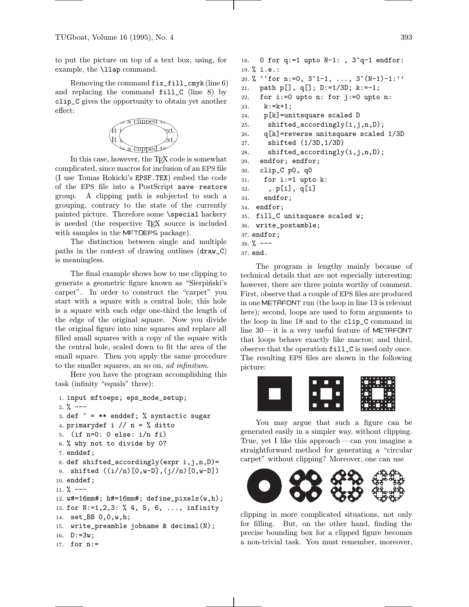to put the picture on top of a text box, using, for example, the \llap command.

Removing the command fix\_fill\_cmyk (line 6) and replacing the command  $fill_C$  (line 8) by clip\_C gives the opportunity to obtain yet another effect:



In this case, however, the T<sub>EX</sub> code is somewhat complicated, since macros for inclusion of an EPS file (I use Tomas Rokicki's EPSF.TEX) embed the code of the EPS file into a PostScript save–restore group. A clipping path is subjected to such a grouping, contrary to the state of the currently painted picture. Therefore some \special hackery is needed (the respective TEX source is included with samples in the MFTOEPS package).

The distinction between single and multiple paths in the context of drawing outlines (draw\_C) is meaningless.

The final example shows how to use clipping to generate a geometric figure known as "Sierpiński's carpet". In order to construct the "carpet" you start with a square with a central hole; this hole is a square with each edge one-third the length of the edge of the original square. Now you divide the original figure into nine squares and replace all filled small squares with a copy of the square with the central hole, scaled down to fit the area of the small square. Then you apply the same procedure to the smaller squares, an so on, ad infinitum.

Here you have the program accomplishing this task (infinity "equals" three):

```
1. input mftoeps; eps_mode_setup;
2. \% ---
3. def \hat{ } = ** enddef; % syntactic sugar
4. primarydef i // n = % ditto
5. (if n=0: 0 else: i/n fi)
6. % why not to divide by 0?
7. enddef;
8. def shifted_accordingly(expr i,j,n,D)=
9. shifted ((i//n)[0,w-D],(j//n)[0,w-D])10. enddef;
11. \frac{\%}{\ } ---
12. w#=16mm#; h#=16mm#; define_pixels(w,h);
13. for N:=1,2,3: % 4, 5, 6, ..., infinity
14. set_BB 0,0,w,h;
15. write_preamble jobname & decimal(N);
16. D := 3w;17. for n:=
```

```
18. 0 for q:=1 upto N-1: , 3^q-1 endfor:
19. % i.e.:
20. % ''for n:=0, 3^1-1, ..., 3^*(N-1)-1:''
21. path p[], q[]; D:=1/3D; k:=-1;
22. for i:=0 upto n: for j:=0 upto n:
23. k:=k+1;24. p[k]=unitsquare scaled D
25. shifted_accordingly(i,j,n,D);
26. q[k]=reverse unitsquare scaled 1/3D
27. shifted (1/3D,1/3D)
28. shifted_accordingly(i,j,n,D);
29. endfor; endfor;
30. clip_C p0, q0
31. for i:=1 upto k:
32. , p[i], q[i]
33. endfor;
34. endfor;
35. fill_C unitsquare scaled w;
36. write_postamble;
37. endfor;
38. \frac{\%}{\ } ---
```

```
37. end.
```
The program is lengthy mainly because of technical details that are not especially interesting; however, there are three points worthy of comment. First, observe that a couple of EPS files are produced in one METAFONT run (the loop in line 13 is relevant here); second, loops are used to form arguments to the loop in line 18 and to the clip\_C command in line 30—it is a very useful feature of METAFONT that loops behave exactly like macros; and third, observe that the operation fill\_C is used only once. The resulting EPS files are shown in the following picture:



You may argue that such a figure can be generated easily in a simpler way, without clipping. True, yet I like this approach—can you imagine a straightforward method for generating a "circular carpet" without clipping? Moreover, one can use



clipping in more complicated situations, not only for filling. But, on the other hand, finding the precise bounding box for a clipped figure becomes a non-trivial task. You must remember, moreover,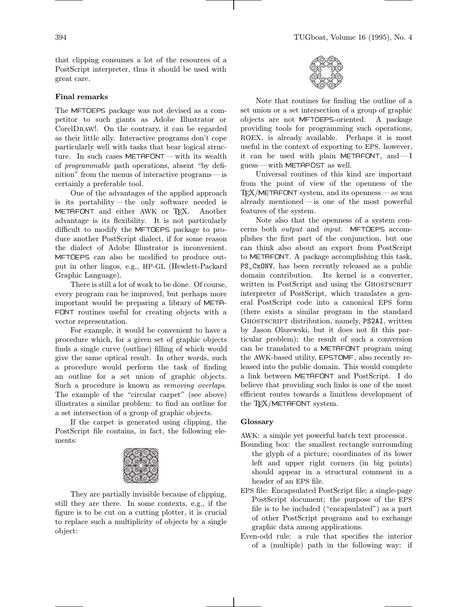that clipping consumes a lot of the resources of a PostScript interpreter, thus it should be used with great care.

## Final remarks

The MFTOEPS package was not devised as a competitor to such giants as Adobe Illustrator or CorelDraw!. On the contrary, it can be regarded as their little ally. Interactive programs don't cope particularly well with tasks that bear logical structure. In such cases METAFONT — with its wealth of programmable path operations, absent "by definition" from the menus of interactive programs—is certainly a preferable tool.

One of the advantages of the applied approach is its portability—the only software needed is METAFONT and either AWK or TFX. Another advantage is its flexibility. It is not particularly difficult to modify the MFTOEPS package to produce another PostScript dialect, if for some reason the dialect of Adobe Illustrator is inconvenient. MFTOEPS can also be modified to produce output in other lingos, e.g., HP-GL (Hewlett-Packard Graphic Language).

There is still a lot of work to be done. Of course, every program can be improved, but perhaps more important would be preparing a library of META- FONT routines useful for creating objects with a vector representation.

For example, it would be convenient to have a procedure which, for a given set of graphic objects finds a single curve (outline) filling of which would give the same optical result. In other words, such a procedure would perform the task of finding an outline for a set union of graphic objects. Such a procedure is known as removing overlaps. The example of the "circular carpet" (see above) illustrates a similar problem: to find an outline for a set intersection of a group of graphic objects.

If the carpet is generated using clipping, the PostScript file contains, in fact, the following elements:



They are partially invisible because of clipping, still they are there. In some contexts, e.g., if the figure is to be cut on a cutting plotter, it is crucial to replace such a multiplicity of objects by a single object:



Note that routines for finding the outline of a set union or a set intersection of a group of graphic objects are not MFTOEPS-oriented. A package providing tools for programming such operations, ROEX, is already available. Perhaps it is most useful in the context of exporting to EPS, however, it can be used with plain METAFONT, and—I guess—with METAPOST as well.

Universal routines of this kind are important from the point of view of the openness of the  $T_{\text{F}}$ X/METAFONT system, and its openness — as was already mentioned—is one of the most powerful features of the system.

Note also that the openness of a system concerns both output and input. MFTOEPS accomplishes the first part of the conjunction, but one can think also about an export from PostScript to METAFONT. A package accomplishing this task, PS\_CxONV, has been recently released as a public domain contribution. Its kernel is a converter, written in PostScript and using the GHOSTSCRIPT interpreter of PostScript, which translates a general PostScript code into a canonical EPS form (there exists a similar program in the standard Ghostscript distribution, namely, PS2AI, written by Jason Olszewski, but it does not fit this particular problem); the result of such a conversion can be translated to a METAFONT program using the AWK-based utility, EPSTOMF, also recently released into the public domain. This would complete a link between METAFONT and PostScript. I do believe that providing such links is one of the most efficient routes towards a limitless development of the TEX/METAFONT system.

#### Glossary

AWK: a simple yet powerful batch text processor.

- Bounding box: the smallest rectangle surrounding the glyph of a picture; coordinates of its lower left and upper right corners (in big points) should appear in a structural comment in a header of an EPS file.
- EPS file: Encapsulated PostScript file; a single-page PostScript document; the purpose of the EPS file is to be included ("encapsulated") as a part of other PostScript programs and to exchange graphic data among applications.
- Even-odd rule: a rule that specifies the interior of a (multiple) path in the following way: if